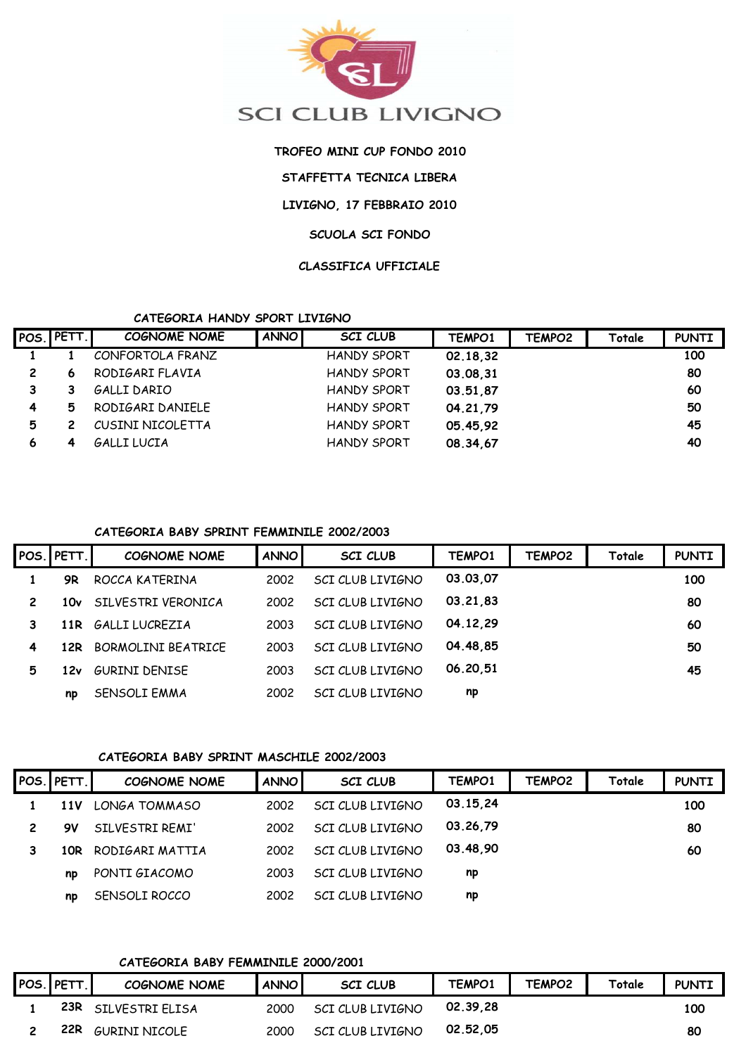

# **TROFEO MINI CUP FONDO 2010**

**STAFFETTA TECNICA LIBERA**

**LIVIGNO, 17 FEBBRAIO 2010**

# **SCUOLA SCI FONDO**

#### **CLASSIFICA UFFICIALE**

# **CATEGORIA HANDY SPORT LIVIGNO**

|              | POS. PETT. | <b>COGNOME NOME</b> | <b>ANNO</b> | <b>SCI CLUB</b>    | TEMPO1   | TEMPO <sub>2</sub> | Totale | <b>PUNTI</b> |
|--------------|------------|---------------------|-------------|--------------------|----------|--------------------|--------|--------------|
|              |            | CONFORTOLA FRANZ    |             | <b>HANDY SPORT</b> | 02.18,32 |                    |        | 100          |
| $\mathbf{2}$ | 6          | RODIGARI FLAVIA     |             | <b>HANDY SPORT</b> | 03.08.31 |                    |        | 80           |
|              |            | GALLI DARIO         |             | <b>HANDY SPORT</b> | 03.51,87 |                    |        | 60           |
| 4            | 5          | RODIGARI DANIELE    |             | <b>HANDY SPORT</b> | 04.21,79 |                    |        | 50           |
| 5            |            | CUSINI NICOLETTA    |             | <b>HANDY SPORT</b> | 05.45,92 |                    |        | 45           |
| 6            |            | GALLI LUCIA         |             | <b>HANDY SPORT</b> | 08.34,67 |                    |        | 40           |

# **CATEGORIA BABY SPRINT FEMMINILE 2002/2003**

|                | POS. PETT. | COGNOME NOME       | <b>ANNO</b> | <b>SCI CLUB</b>         | TEMPO1   | TEMPO2 | Totale | <b>PUNTI</b> |
|----------------|------------|--------------------|-------------|-------------------------|----------|--------|--------|--------------|
|                | 9R         | ROCCA KATERINA     | 2002        | <b>SCI CLUB LIVIGNO</b> | 03.03,07 |        |        | 100          |
| $\overline{2}$ | 10v        | SILVESTRI VERONICA | 2002        | <b>SCI CLUB LIVIGNO</b> | 03.21,83 |        |        | 80           |
|                |            | 11R GALLILUCREZIA  | 2003        | <b>SCI CLUB LIVIGNO</b> | 04.12,29 |        |        | 60           |
| 4              | 12R        | BORMOLINI BEATRICE | 2003        | <b>SCI CLUB LIVIGNO</b> | 04.48,85 |        |        | 50           |
| 5              | 12v        | GURINI DENISE      | 2003        | <b>SCI CLUB LIVIGNO</b> | 06.20,51 |        |        | 45           |
|                | np         | SENSOLI EMMA       | 2002        | SCI CLUB LIVIGNO        | np       |        |        |              |

# **CATEGORIA BABY SPRINT MASCHILE 2002/2003**

| POS. PETT. | <b>COGNOME NOME</b> | <b>ANNO</b> | <b>SCI CLUB</b>         | TEMPO1   | TEMPO <sub>2</sub> | Totale | <b>PUNTI</b> |
|------------|---------------------|-------------|-------------------------|----------|--------------------|--------|--------------|
| 11 V       | LONGA TOMMASO       | 2002        | <b>SCI CLUB LIVIGNO</b> | 03.15,24 |                    |        | 100          |
| 9V         | SILVESTRI REMI'     | 2002        | SCI CLUB LIVIGNO        | 03.26,79 |                    |        | 80           |
| 10R        | RODIGARI MATTIA     | 2002        | <b>SCI CLUB LIVIGNO</b> | 03.48,90 |                    |        | 60           |
| np         | PONTI GIACOMO       | 2003        | SCI CLUB LIVIGNO        | np       |                    |        |              |
| np         | SENSOLI ROCCO       | 2002        | SCI CLUB LIVIGNO        | np       |                    |        |              |

# **CATEGORIA BABY FEMMINILE 2000/2001**

| <b>POS. PETT.</b> | <b>COGNOME NOME</b>  | <b>ANNO</b> | <b>SCI CLUB</b>  | TEMPO1   | TEMPO <sub>2</sub> | Totale | <b>PUNTI</b> |
|-------------------|----------------------|-------------|------------------|----------|--------------------|--------|--------------|
| 23R               | SILVESTRI ELISA      | 2000        | SCI CLUB LIVIGNO | 02.39.28 |                    |        | 100          |
| 22R               | <b>GURINI NICOLE</b> | 2000        | SCI CLUB LIVIGNO | 02.52.05 |                    |        | 80           |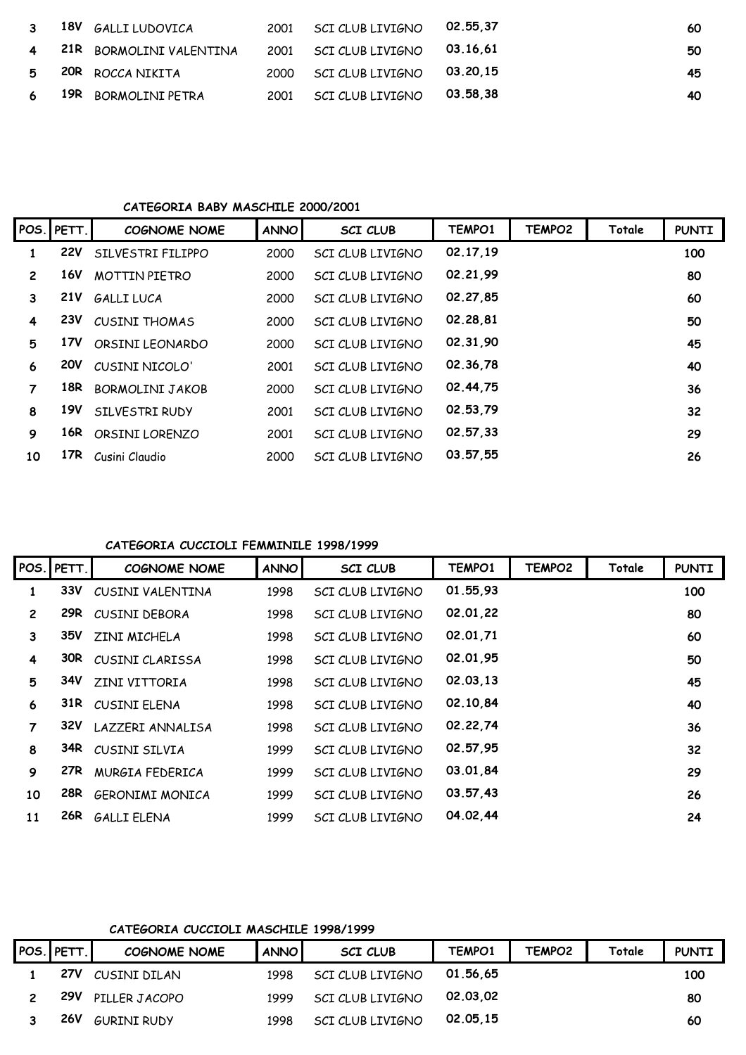|   | 3 18V GALLILUDOVICA       | 2001 SCI CLUB LIVIGNO 02.55,37 | 60 |
|---|---------------------------|--------------------------------|----|
|   | 4 21R BORMOLINI VALENTINA | 2001 SCI CLUB LIVIGNO 03.16,61 | 50 |
|   | 5 20R ROCCA NIKITA        | 2000 SCI CLUB LIVIGNO 03.20,15 | 45 |
| 6 | 19R BORMOLINI PETRA       | 2001 SCI CLUB LIVIGNO 03.58,38 | 40 |

#### **CATEGORIA BABY MASCHILE 2000/2001**

|              | POS. PETT. | <b>COGNOME NOME</b>  | <b>ANNO</b> | <b>SCI CLUB</b>         | TEMPO1   | TEMPO <sub>2</sub> | Totale | <b>PUNTI</b> |
|--------------|------------|----------------------|-------------|-------------------------|----------|--------------------|--------|--------------|
|              | <b>22V</b> | SILVESTRI FILIPPO    | 2000        | <b>SCI CLUB LIVIGNO</b> | 02.17,19 |                    |        | 100          |
| $\mathbf{2}$ | 16V        | <b>MOTTIN PIETRO</b> | 2000        | <b>SCI CLUB LIVIGNO</b> | 02.21,99 |                    |        | 80           |
| 3            | <b>21V</b> | <b>GALLILUCA</b>     | 2000        | <b>SCI CLUB LIVIGNO</b> | 02.27,85 |                    |        | 60           |
| 4            | <b>23V</b> | <b>CUSINI THOMAS</b> | 2000        | <b>SCI CLUB LIVIGNO</b> | 02.28,81 |                    |        | 50           |
| 5            | 17V        | ORSINI LEONARDO      | 2000        | <b>SCI CLUB LIVIGNO</b> | 02.31,90 |                    |        | 45           |
| 6            | <b>20V</b> | CUSINI NICOLO'       | 2001        | <b>SCI CLUB LIVIGNO</b> | 02.36,78 |                    |        | 40           |
| 7            | 18R        | BORMOLINI JAKOB      | 2000        | <b>SCI CLUB LIVIGNO</b> | 02.44,75 |                    |        | 36           |
| 8            | 19V        | SILVESTRI RUDY       | 2001        | <b>SCI CLUB LIVIGNO</b> | 02.53,79 |                    |        | 32           |
| 9            | 16R        | ORSINI LORENZO       | 2001        | <b>SCI CLUB LIVIGNO</b> | 02.57,33 |                    |        | 29           |
| 10           | 17R        | Cusini Claudio       | 2000        | <b>SCI CLUB LIVIGNO</b> | 03.57,55 |                    |        | 26           |

### **CATEGORIA CUCCIOLI FEMMINILE 1998/1999**

|                | POS. PETT. | <b>COGNOME NOME</b>    | <b>ANNO</b> | <b>SCI CLUB</b>         | TEMPO1   | TEMPO <sub>2</sub> | Totale | <b>PUNTI</b> |
|----------------|------------|------------------------|-------------|-------------------------|----------|--------------------|--------|--------------|
| 1              | 33V        | CUSINI VALENTINA       | 1998        | <b>SCI CLUB LIVIGNO</b> | 01.55,93 |                    |        | 100          |
| $\overline{c}$ | 29R        | <b>CUSINI DEBORA</b>   | 1998        | SCI CLUB LIVIGNO        | 02.01,22 |                    |        | 80           |
| 3              | 35V        | ZINI MICHELA           | 1998        | <b>SCI CLUB LIVIGNO</b> | 02.01,71 |                    |        | 60           |
| 4              | 30R        | CUSINI CLARISSA        | 1998        | <b>SCI CLUB LIVIGNO</b> | 02.01,95 |                    |        | 50           |
| 5              | 34V        | ZINI VITTORIA          | 1998        | <b>SCI CLUB LIVIGNO</b> | 02.03,13 |                    |        | 45           |
| 6              | 31R        | CUSINI ELENA           | 1998        | <b>SCI CLUB LIVIGNO</b> | 02.10,84 |                    |        | 40           |
| 7              | 32V        | LAZZERI ANNALISA       | 1998        | <b>SCI CLUB LIVIGNO</b> | 02.22,74 |                    |        | 36           |
| 8              | 34R        | CUSINI SILVIA          | 1999        | <b>SCI CLUB LIVIGNO</b> | 02.57,95 |                    |        | 32           |
| 9              | 27R        | MURGIA FEDERICA        | 1999        | <b>SCI CLUB LIVIGNO</b> | 03.01,84 |                    |        | 29           |
| 10             | 28R        | <b>GERONIMI MONICA</b> | 1999        | <b>SCI CLUB LIVIGNO</b> | 03.57,43 |                    |        | 26           |
| 11             | 26R        | <b>GALLI ELENA</b>     | 1999        | <b>SCI CLUB LIVIGNO</b> | 04.02,44 |                    |        | 24           |

# **CATEGORIA CUCCIOLI MASCHILE 1998/1999**

| POS. PETT. | <b>COGNOME NOME</b> | <b>ANNO</b> | <b>SCI CLUB</b>  | TEMPO1   | TEMPO <sub>2</sub> | Totale | <b>PUNTI</b> |
|------------|---------------------|-------------|------------------|----------|--------------------|--------|--------------|
| 27V        | CUSINI DILAN        | 1998        | SCI CLUB LIVIGNO | 01.56.65 |                    |        | 100          |
| 29V        | PILLER JACOPO       | 1999        | SCI CLUB LIVIGNO | 02.03.02 |                    |        | 80           |
| <b>26V</b> | <b>GURTNT RUDY</b>  | 1998        | SCI CLUB LIVIGNO | 02.05.15 |                    |        | 60           |